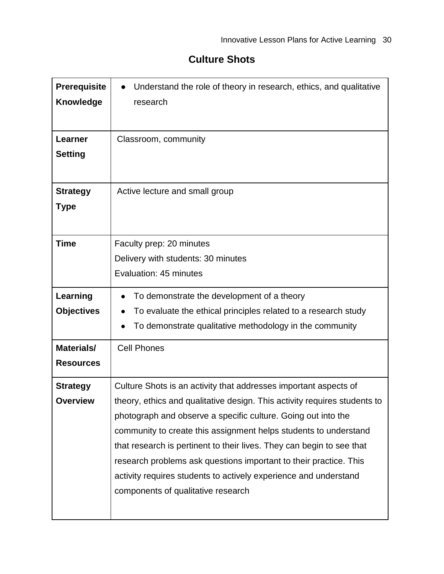## **Culture Shots**

| Prerequisite<br><b>Knowledge</b>      | Understand the role of theory in research, ethics, and qualitative<br>research                                                                                                                                                                                                                                                                                                                                                                                                                                                             |
|---------------------------------------|--------------------------------------------------------------------------------------------------------------------------------------------------------------------------------------------------------------------------------------------------------------------------------------------------------------------------------------------------------------------------------------------------------------------------------------------------------------------------------------------------------------------------------------------|
| Learner<br><b>Setting</b>             | Classroom, community                                                                                                                                                                                                                                                                                                                                                                                                                                                                                                                       |
| <b>Strategy</b><br><b>Type</b>        | Active lecture and small group                                                                                                                                                                                                                                                                                                                                                                                                                                                                                                             |
| <b>Time</b>                           | Faculty prep: 20 minutes<br>Delivery with students: 30 minutes<br>Evaluation: 45 minutes                                                                                                                                                                                                                                                                                                                                                                                                                                                   |
| Learning<br><b>Objectives</b>         | To demonstrate the development of a theory<br>To evaluate the ethical principles related to a research study<br>To demonstrate qualitative methodology in the community                                                                                                                                                                                                                                                                                                                                                                    |
| <b>Materials/</b><br><b>Resources</b> | <b>Cell Phones</b>                                                                                                                                                                                                                                                                                                                                                                                                                                                                                                                         |
| <b>Strategy</b><br><b>Overview</b>    | Culture Shots is an activity that addresses important aspects of<br>theory, ethics and qualitative design. This activity requires students to<br>photograph and observe a specific culture. Going out into the<br>community to create this assignment helps students to understand<br>that research is pertinent to their lives. They can begin to see that<br>research problems ask questions important to their practice. This<br>activity requires students to actively experience and understand<br>components of qualitative research |